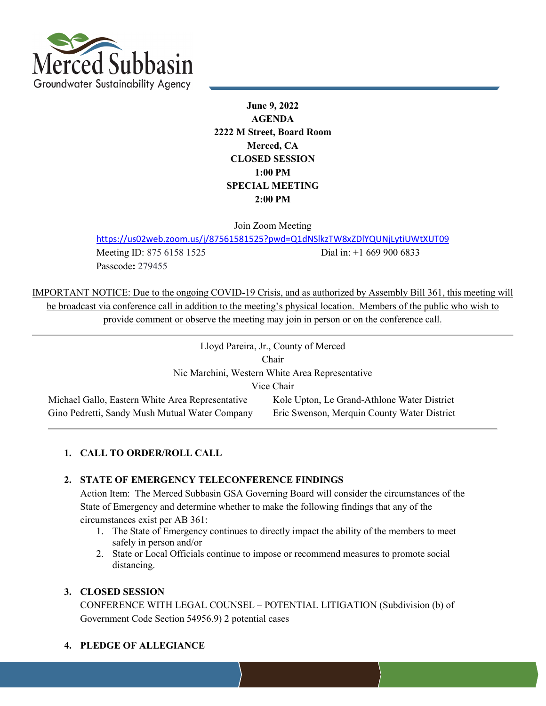

**June 9, 2022 AGENDA 2222 M Street, Board Room Merced, CA CLOSED SESSION 1:00 PM SPECIAL MEETING 2:00 PM**

Join Zoom Meeting

<https://us02web.zoom.us/j/87561581525?pwd=Q1dNSlkzTW8xZDlYQUNjLytiUWtXUT09>

Passcode**:** 279455

Meeting ID: 875 6158 1525 Dial in: +1 669 900 6833

IMPORTANT NOTICE: Due to the ongoing COVID-19 Crisis, and as authorized by Assembly Bill 361, this meeting will be broadcast via conference call in addition to the meeting's physical location. Members of the public who wish to provide comment or observe the meeting may join in person or on the conference call.

| Lloyd Pareira, Jr., County of Merced             |                                             |  |
|--------------------------------------------------|---------------------------------------------|--|
| Chair                                            |                                             |  |
| Nic Marchini, Western White Area Representative  |                                             |  |
| Vice Chair                                       |                                             |  |
| Michael Gallo, Eastern White Area Representative | Kole Upton, Le Grand-Athlone Water District |  |
| Gino Pedretti, Sandy Mush Mutual Water Company   | Eric Swenson, Merquin County Water District |  |

# **1. CALL TO ORDER/ROLL CALL**

#### **2. STATE OF EMERGENCY TELECONFERENCE FINDINGS**

Action Item: The Merced Subbasin GSA Governing Board will consider the circumstances of the State of Emergency and determine whether to make the following findings that any of the circumstances exist per AB 361:

- 1. The State of Emergency continues to directly impact the ability of the members to meet safely in person and/or
- 2. State or Local Officials continue to impose or recommend measures to promote social distancing.

#### **3. CLOSED SESSION**

CONFERENCE WITH LEGAL COUNSEL – POTENTIAL LITIGATION (Subdivision (b) of Government Code Section 54956.9) 2 potential cases

**4. PLEDGE OF ALLEGIANCE**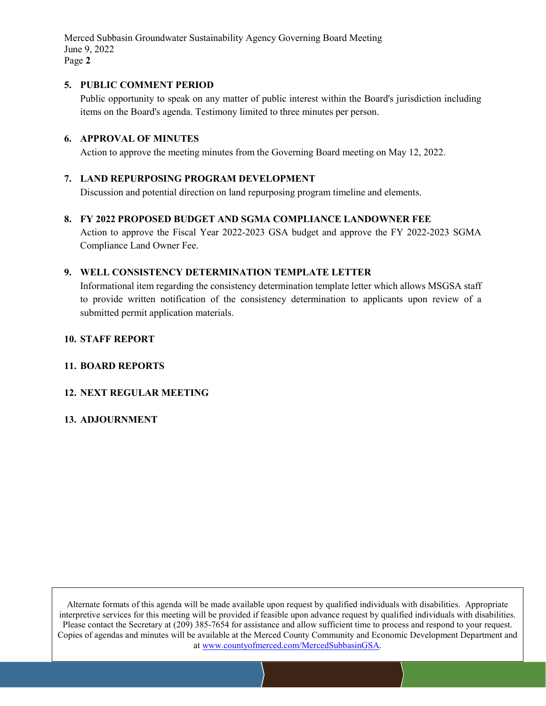Merced Subbasin Groundwater Sustainability Agency Governing Board Meeting June 9, 2022 Page **2**

### **5. PUBLIC COMMENT PERIOD**

Public opportunity to speak on any matter of public interest within the Board's jurisdiction including items on the Board's agenda. Testimony limited to three minutes per person.

## **6. APPROVAL OF MINUTES**

Action to approve the meeting minutes from the Governing Board meeting on May 12, 2022.

# **7. LAND REPURPOSING PROGRAM DEVELOPMENT**

Discussion and potential direction on land repurposing program timeline and elements.

### **8. FY 2022 PROPOSED BUDGET AND SGMA COMPLIANCE LANDOWNER FEE**

Action to approve the Fiscal Year 2022-2023 GSA budget and approve the FY 2022-2023 SGMA Compliance Land Owner Fee.

## **9. WELL CONSISTENCY DETERMINATION TEMPLATE LETTER**

Informational item regarding the consistency determination template letter which allows MSGSA staff to provide written notification of the consistency determination to applicants upon review of a submitted permit application materials.

#### **10. STAFF REPORT**

#### **11. BOARD REPORTS**

## **12. NEXT REGULAR MEETING**

#### **13. ADJOURNMENT**

Alternate formats of this agenda will be made available upon request by qualified individuals with disabilities. Appropriate interpretive services for this meeting will be provided if feasible upon advance request by qualified individuals with disabilities. Please contact the Secretary at (209) 385-7654 for assistance and allow sufficient time to process and respond to your request. Copies of agendas and minutes will be available at the Merced County Community and Economic Development Department and at www.countyofmerced.com/MercedSubbasinGSA.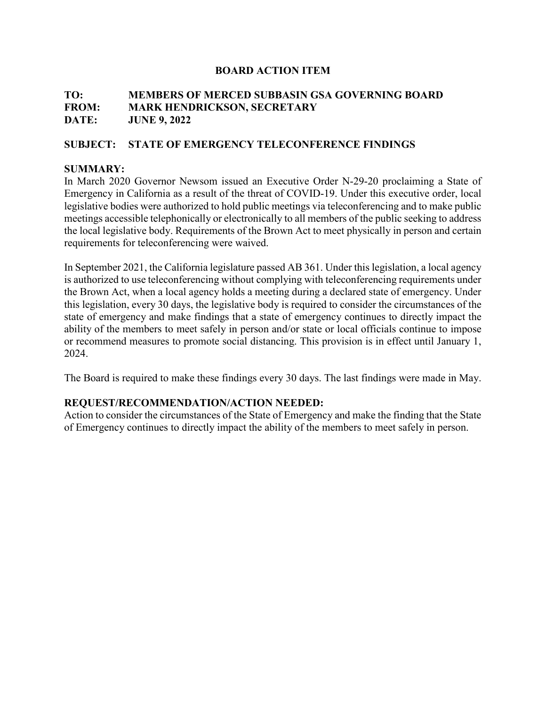# **TO: MEMBERS OF MERCED SUBBASIN GSA GOVERNING BOARD FROM: MARK HENDRICKSON, SECRETARY DATE: JUNE 9, 2022**

# **SUBJECT: STATE OF EMERGENCY TELECONFERENCE FINDINGS**

## **SUMMARY:**

In March 2020 Governor Newsom issued an Executive Order N-29-20 proclaiming a State of Emergency in California as a result of the threat of COVID-19. Under this executive order, local legislative bodies were authorized to hold public meetings via teleconferencing and to make public meetings accessible telephonically or electronically to all members of the public seeking to address the local legislative body. Requirements of the Brown Act to meet physically in person and certain requirements for teleconferencing were waived.

In September 2021, the California legislature passed AB 361. Under this legislation, a local agency is authorized to use teleconferencing without complying with teleconferencing requirements under the Brown Act, when a local agency holds a meeting during a declared state of emergency. Under this legislation, every 30 days, the legislative body is required to consider the circumstances of the state of emergency and make findings that a state of emergency continues to directly impact the ability of the members to meet safely in person and/or state or local officials continue to impose or recommend measures to promote social distancing. This provision is in effect until January 1, 2024.

The Board is required to make these findings every 30 days. The last findings were made in May.

## **REQUEST/RECOMMENDATION/ACTION NEEDED:**

Action to consider the circumstances of the State of Emergency and make the finding that the State of Emergency continues to directly impact the ability of the members to meet safely in person.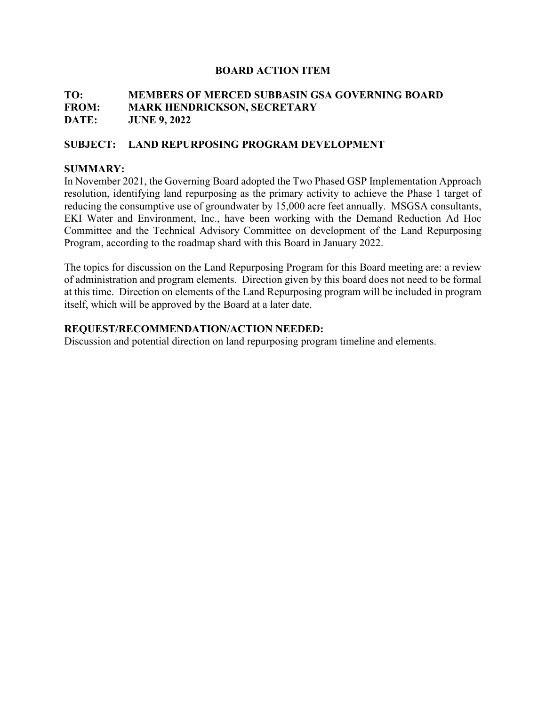# **TO: MEMBERS OF MERCED SUBBASIN GSA GOVERNING BOARD FROM: MARK HENDRICKSON, SECRETARY DATE: JUNE 9, 2022**

# **SUBJECT: LAND REPURPOSING PROGRAM DEVELOPMENT**

### **SUMMARY:**

In November 2021, the Governing Board adopted the Two Phased GSP Implementation Approach resolution, identifying land repurposing as the primary activity to achieve the Phase 1 target of reducing the consumptive use of groundwater by 15,000 acre feet annually. MSGSA consultants, EKI Water and Environment, Inc., have been working with the Demand Reduction Ad Hoc Committee and the Technical Advisory Committee on development of the Land Repurposing Program, according to the roadmap shard with this Board in January 2022.

The topics for discussion on the Land Repurposing Program for this Board meeting are: a review of administration and program elements. Direction given by this board does not need to be formal at this time. Direction on elements of the Land Repurposing program will be included in program itself, which will be approved by the Board at a later date.

### **REQUEST/RECOMMENDATION/ACTION NEEDED:**

Discussion and potential direction on land repurposing program timeline and elements.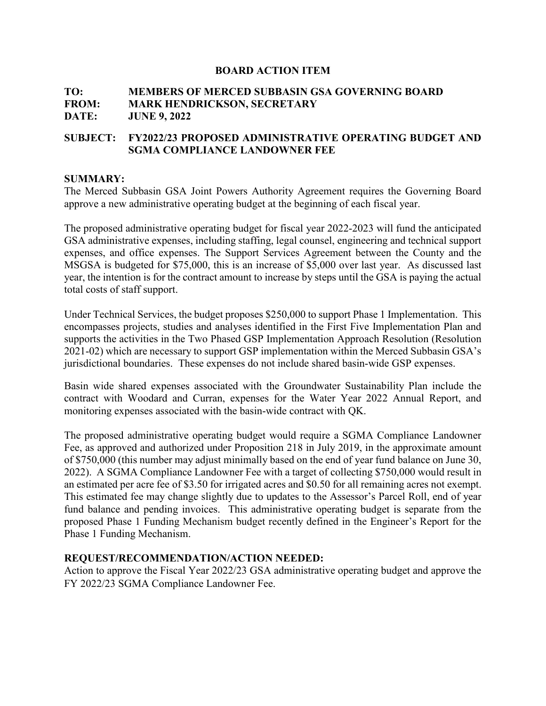# **TO: MEMBERS OF MERCED SUBBASIN GSA GOVERNING BOARD FROM: MARK HENDRICKSON, SECRETARY DATE: JUNE 9, 2022**

# **SUBJECT: FY2022/23 PROPOSED ADMINISTRATIVE OPERATING BUDGET AND SGMA COMPLIANCE LANDOWNER FEE**

#### **SUMMARY:**

The Merced Subbasin GSA Joint Powers Authority Agreement requires the Governing Board approve a new administrative operating budget at the beginning of each fiscal year.

The proposed administrative operating budget for fiscal year 2022-2023 will fund the anticipated GSA administrative expenses, including staffing, legal counsel, engineering and technical support expenses, and office expenses. The Support Services Agreement between the County and the MSGSA is budgeted for \$75,000, this is an increase of \$5,000 over last year. As discussed last year, the intention is for the contract amount to increase by steps until the GSA is paying the actual total costs of staff support.

Under Technical Services, the budget proposes \$250,000 to support Phase 1 Implementation. This encompasses projects, studies and analyses identified in the First Five Implementation Plan and supports the activities in the Two Phased GSP Implementation Approach Resolution (Resolution 2021-02) which are necessary to support GSP implementation within the Merced Subbasin GSA's jurisdictional boundaries. These expenses do not include shared basin-wide GSP expenses.

Basin wide shared expenses associated with the Groundwater Sustainability Plan include the contract with Woodard and Curran, expenses for the Water Year 2022 Annual Report, and monitoring expenses associated with the basin-wide contract with QK.

The proposed administrative operating budget would require a SGMA Compliance Landowner Fee, as approved and authorized under Proposition 218 in July 2019, in the approximate amount of \$750,000 (this number may adjust minimally based on the end of year fund balance on June 30, 2022). A SGMA Compliance Landowner Fee with a target of collecting \$750,000 would result in an estimated per acre fee of \$3.50 for irrigated acres and \$0.50 for all remaining acres not exempt. This estimated fee may change slightly due to updates to the Assessor's Parcel Roll, end of year fund balance and pending invoices. This administrative operating budget is separate from the proposed Phase 1 Funding Mechanism budget recently defined in the Engineer's Report for the Phase 1 Funding Mechanism.

#### **REQUEST/RECOMMENDATION/ACTION NEEDED:**

Action to approve the Fiscal Year 2022/23 GSA administrative operating budget and approve the FY 2022/23 SGMA Compliance Landowner Fee.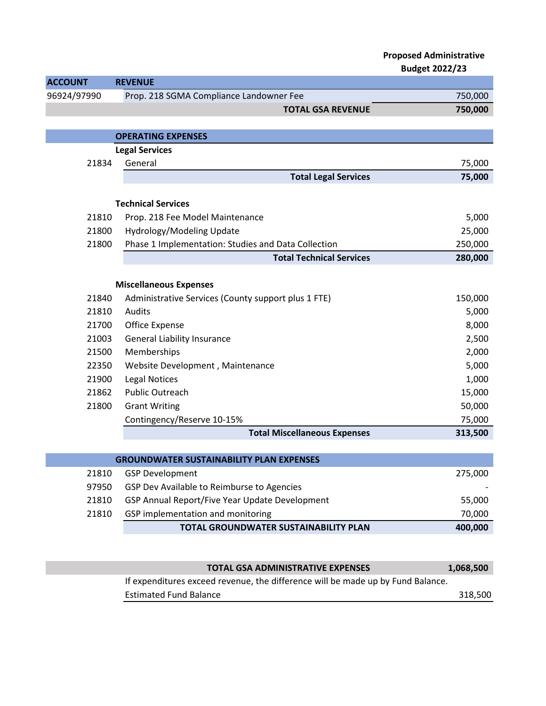|                |                                                     | <b>Proposed Administrative</b><br><b>Budget 2022/23</b> |
|----------------|-----------------------------------------------------|---------------------------------------------------------|
| <b>ACCOUNT</b> | <b>REVENUE</b>                                      |                                                         |
| 96924/97990    | Prop. 218 SGMA Compliance Landowner Fee             | 750,000                                                 |
|                | <b>TOTAL GSA REVENUE</b>                            | 750,000                                                 |
|                |                                                     |                                                         |
|                | <b>OPERATING EXPENSES</b>                           |                                                         |
|                | <b>Legal Services</b>                               |                                                         |
| 21834          | General                                             | 75,000                                                  |
|                | <b>Total Legal Services</b>                         | 75,000                                                  |
|                |                                                     |                                                         |
|                | <b>Technical Services</b>                           |                                                         |
| 21810          | Prop. 218 Fee Model Maintenance                     | 5,000                                                   |
| 21800          | Hydrology/Modeling Update                           | 25,000                                                  |
| 21800          | Phase 1 Implementation: Studies and Data Collection | 250,000                                                 |
|                | <b>Total Technical Services</b>                     | 280,000                                                 |
|                |                                                     |                                                         |
|                | <b>Miscellaneous Expenses</b>                       |                                                         |
| 21840          | Administrative Services (County support plus 1 FTE) | 150,000                                                 |
| 21810          | Audits                                              | 5,000                                                   |
| 21700          | Office Expense                                      | 8,000                                                   |
| 21003          | <b>General Liability Insurance</b>                  | 2,500                                                   |
| 21500          | Memberships                                         | 2,000                                                   |
| 22350          | Website Development, Maintenance                    | 5,000                                                   |
| 21900          | <b>Legal Notices</b>                                | 1,000                                                   |
| 21862          | <b>Public Outreach</b>                              | 15,000                                                  |
| 21800          | <b>Grant Writing</b>                                | 50,000                                                  |
|                | Contingency/Reserve 10-15%                          | 75,000                                                  |
|                | <b>Total Miscellaneous Expenses</b>                 | 313,500                                                 |
|                |                                                     |                                                         |
|                | <b>GROUNDWATER SUSTAINABILITY PLAN EXPENSES</b>     |                                                         |
| 21810          | <b>GSP Development</b>                              | 275,000                                                 |
| 97950          | GSP Dev Available to Reimburse to Agencies          |                                                         |
| 21810          | GSP Annual Report/Five Year Update Development      | 55,000                                                  |
| 21810          | GSP implementation and monitoring                   | 70,000                                                  |

**TOTAL GROUNDWATER SUSTAINABILITY PLAN 400,000**

| <b>TOTAL GSA ADMINISTRATIVE EXPENSES</b>                                        | 1,068,500 |
|---------------------------------------------------------------------------------|-----------|
| If expenditures exceed revenue, the difference will be made up by Fund Balance. |           |
| <b>Estimated Fund Balance</b>                                                   | 318,500   |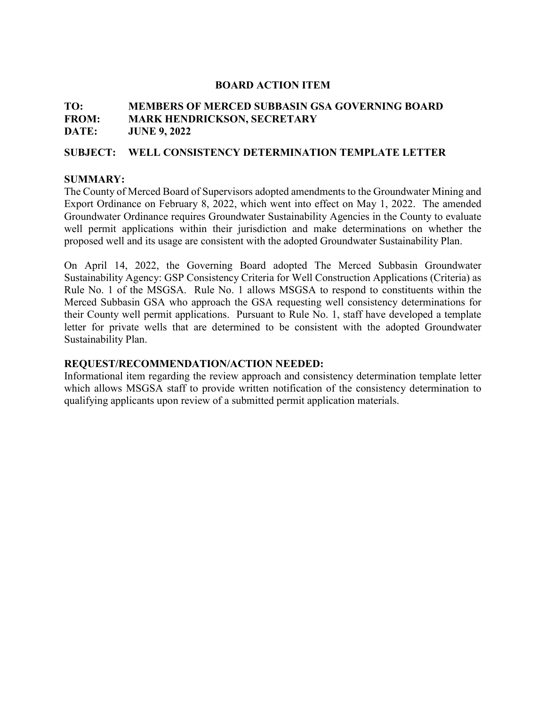# **TO: MEMBERS OF MERCED SUBBASIN GSA GOVERNING BOARD FROM: MARK HENDRICKSON, SECRETARY DATE: JUNE 9, 2022**

### **SUBJECT: WELL CONSISTENCY DETERMINATION TEMPLATE LETTER**

### **SUMMARY:**

The County of Merced Board of Supervisors adopted amendments to the Groundwater Mining and Export Ordinance on February 8, 2022, which went into effect on May 1, 2022. The amended Groundwater Ordinance requires Groundwater Sustainability Agencies in the County to evaluate well permit applications within their jurisdiction and make determinations on whether the proposed well and its usage are consistent with the adopted Groundwater Sustainability Plan.

On April 14, 2022, the Governing Board adopted The Merced Subbasin Groundwater Sustainability Agency: GSP Consistency Criteria for Well Construction Applications (Criteria) as Rule No. 1 of the MSGSA. Rule No. 1 allows MSGSA to respond to constituents within the Merced Subbasin GSA who approach the GSA requesting well consistency determinations for their County well permit applications. Pursuant to Rule No. 1, staff have developed a template letter for private wells that are determined to be consistent with the adopted Groundwater Sustainability Plan.

## **REQUEST/RECOMMENDATION/ACTION NEEDED:**

Informational item regarding the review approach and consistency determination template letter which allows MSGSA staff to provide written notification of the consistency determination to qualifying applicants upon review of a submitted permit application materials.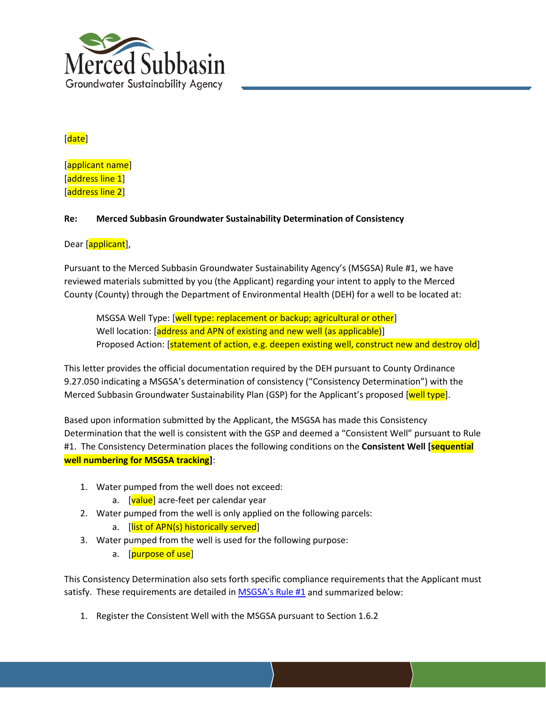

# [date]

[applicant name] [address line 1] [address line 2]

### **Re: Merced Subbasin Groundwater Sustainability Determination of Consistency**

### Dear [applicant],

Pursuant to the Merced Subbasin Groundwater Sustainability Agency's (MSGSA) Rule #1, we have reviewed materials submitted by you (the Applicant) regarding your intent to apply to the Merced County (County) through the Department of Environmental Health (DEH) for a well to be located at:

MSGSA Well Type: [well type: replacement or backup; agricultural or other] Well location: [address and APN of existing and new well (as applicable)] Proposed Action: [statement of action, e.g. deepen existing well, construct new and destroy old]

This letter provides the official documentation required by the DEH pursuant to County Ordinance 9.27.050 indicating a MSGSA's determination of consistency ("Consistency Determination") with the Merced Subbasin Groundwater Sustainability Plan (GSP) for the Applicant's proposed [well type].

Based upon information submitted by the Applicant, the MSGSA has made this Consistency Determination that the well is consistent with the GSP and deemed a "Consistent Well" pursuant to Rule #1. The Consistency Determination places the following conditions on the **Consistent Well [sequential well numbering for MSGSA tracking]**:

- 1. Water pumped from the well does not exceed:
	- a. [value] acre-feet per calendar year
- 2. Water pumped from the well is only applied on the following parcels: a. [list of APN(s) historically served]
- 3. Water pumped from the well is used for the following purpose:
	- a. [**purpose of use**]

This Consistency Determination also sets forth specific compliance requirements that the Applicant must satisfy. These requirements are detailed in **MSGSA's Rule #1** and summarized below:

1. Register the Consistent Well with the MSGSA pursuant to Section 1.6.2